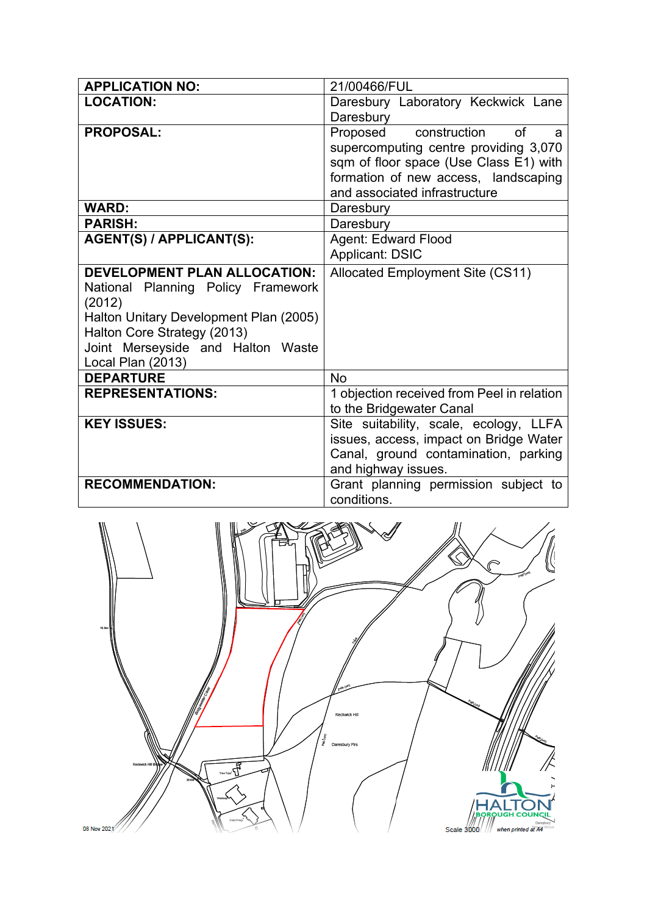| <b>APPLICATION NO:</b>                                                                                                                                                                                                 | 21/00466/FUL                                                                                                                                                                                    |
|------------------------------------------------------------------------------------------------------------------------------------------------------------------------------------------------------------------------|-------------------------------------------------------------------------------------------------------------------------------------------------------------------------------------------------|
| <b>LOCATION:</b>                                                                                                                                                                                                       | Daresbury Laboratory Keckwick Lane<br>Daresbury                                                                                                                                                 |
| <b>PROPOSAL:</b>                                                                                                                                                                                                       | Proposed<br>construction<br>of<br>a<br>supercomputing centre providing 3,070<br>sqm of floor space (Use Class E1) with<br>formation of new access, landscaping<br>and associated infrastructure |
| <b>WARD:</b>                                                                                                                                                                                                           | Daresbury                                                                                                                                                                                       |
| <b>PARISH:</b>                                                                                                                                                                                                         | Daresbury                                                                                                                                                                                       |
| AGENT(S) / APPLICANT(S):                                                                                                                                                                                               | <b>Agent: Edward Flood</b><br><b>Applicant: DSIC</b>                                                                                                                                            |
| <b>DEVELOPMENT PLAN ALLOCATION:</b><br>National Planning Policy Framework<br>(2012)<br>Halton Unitary Development Plan (2005)<br>Halton Core Strategy (2013)<br>Joint Merseyside and Halton Waste<br>Local Plan (2013) | Allocated Employment Site (CS11)                                                                                                                                                                |
| <b>DEPARTURE</b>                                                                                                                                                                                                       | <b>No</b>                                                                                                                                                                                       |
| <b>REPRESENTATIONS:</b>                                                                                                                                                                                                | 1 objection received from Peel in relation<br>to the Bridgewater Canal                                                                                                                          |
| <b>KEY ISSUES:</b>                                                                                                                                                                                                     | Site suitability, scale, ecology, LLFA<br>issues, access, impact on Bridge Water<br>Canal, ground contamination, parking<br>and highway issues.                                                 |
| <b>RECOMMENDATION:</b>                                                                                                                                                                                                 | Grant planning permission subject to<br>conditions.                                                                                                                                             |

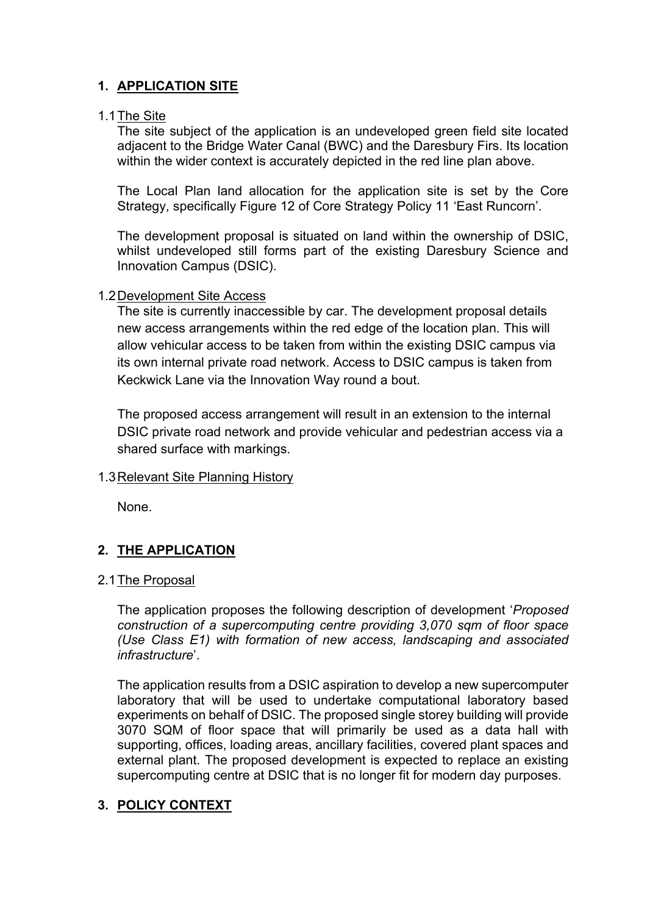# **1. APPLICATION SITE**

### 1.1The Site

The site subject of the application is an undeveloped green field site located adjacent to the Bridge Water Canal (BWC) and the Daresbury Firs. Its location within the wider context is accurately depicted in the red line plan above.

The Local Plan land allocation for the application site is set by the Core Strategy, specifically Figure 12 of Core Strategy Policy 11 'East Runcorn'.

The development proposal is situated on land within the ownership of DSIC, whilst undeveloped still forms part of the existing Daresbury Science and Innovation Campus (DSIC).

### 1.2Development Site Access

The site is currently inaccessible by car. The development proposal details new access arrangements within the red edge of the location plan. This will allow vehicular access to be taken from within the existing DSIC campus via its own internal private road network. Access to DSIC campus is taken from Keckwick Lane via the Innovation Way round a bout.

The proposed access arrangement will result in an extension to the internal DSIC private road network and provide vehicular and pedestrian access via a shared surface with markings.

### 1.3Relevant Site Planning History

None.

## **2. THE APPLICATION**

### 2.1The Proposal

The application proposes the following description of development '*Proposed construction of a supercomputing centre providing 3,070 sqm of floor space (Use Class E1) with formation of new access, landscaping and associated infrastructure*'.

The application results from a DSIC aspiration to develop a new supercomputer laboratory that will be used to undertake computational laboratory based experiments on behalf of DSIC. The proposed single storey building will provide 3070 SQM of floor space that will primarily be used as a data hall with supporting, offices, loading areas, ancillary facilities, covered plant spaces and external plant. The proposed development is expected to replace an existing supercomputing centre at DSIC that is no longer fit for modern day purposes.

# **3. POLICY CONTEXT**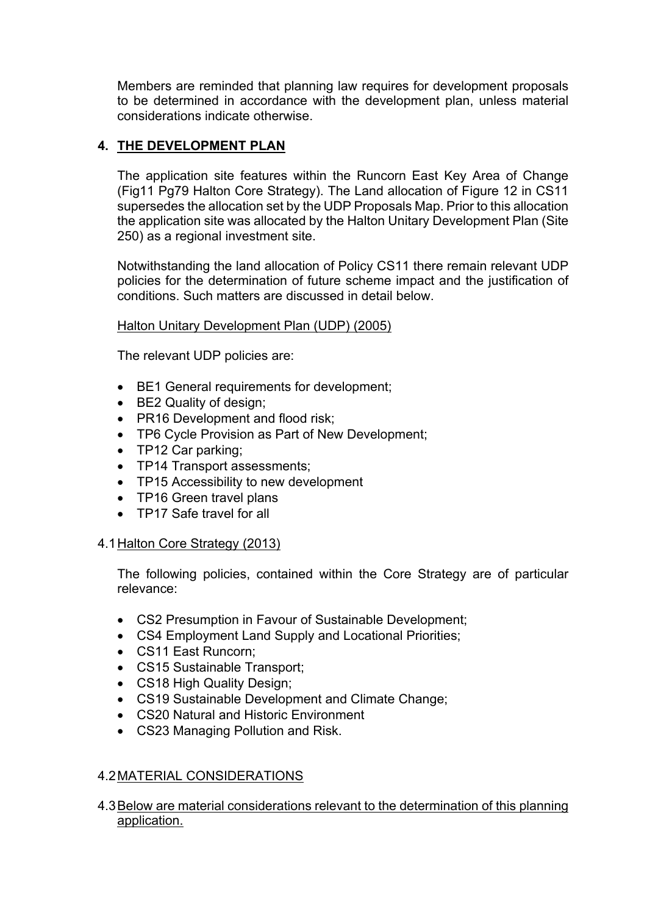Members are reminded that planning law requires for development proposals to be determined in accordance with the development plan, unless material considerations indicate otherwise.

## **4. THE DEVELOPMENT PLAN**

The application site features within the Runcorn East Key Area of Change (Fig11 Pg79 Halton Core Strategy). The Land allocation of Figure 12 in CS11 supersedes the allocation set by the UDP Proposals Map. Prior to this allocation the application site was allocated by the Halton Unitary Development Plan (Site 250) as a regional investment site.

Notwithstanding the land allocation of Policy CS11 there remain relevant UDP policies for the determination of future scheme impact and the justification of conditions. Such matters are discussed in detail below.

## Halton Unitary Development Plan (UDP) (2005)

The relevant UDP policies are:

- BE1 General requirements for development:
- BE2 Quality of design;
- PR16 Development and flood risk;
- TP6 Cycle Provision as Part of New Development;
- TP12 Car parking;
- TP14 Transport assessments;
- TP15 Accessibility to new development
- TP16 Green travel plans
- TP17 Safe travel for all

### 4.1Halton Core Strategy (2013)

The following policies, contained within the Core Strategy are of particular relevance:

- CS2 Presumption in Favour of Sustainable Development;
- CS4 Employment Land Supply and Locational Priorities;
- CS11 East Runcorn:
- CS15 Sustainable Transport;
- CS18 High Quality Design;
- CS19 Sustainable Development and Climate Change;
- CS20 Natural and Historic Environment
- CS23 Managing Pollution and Risk.

### 4.2MATERIAL CONSIDERATIONS

4.3Below are material considerations relevant to the determination of this planning application.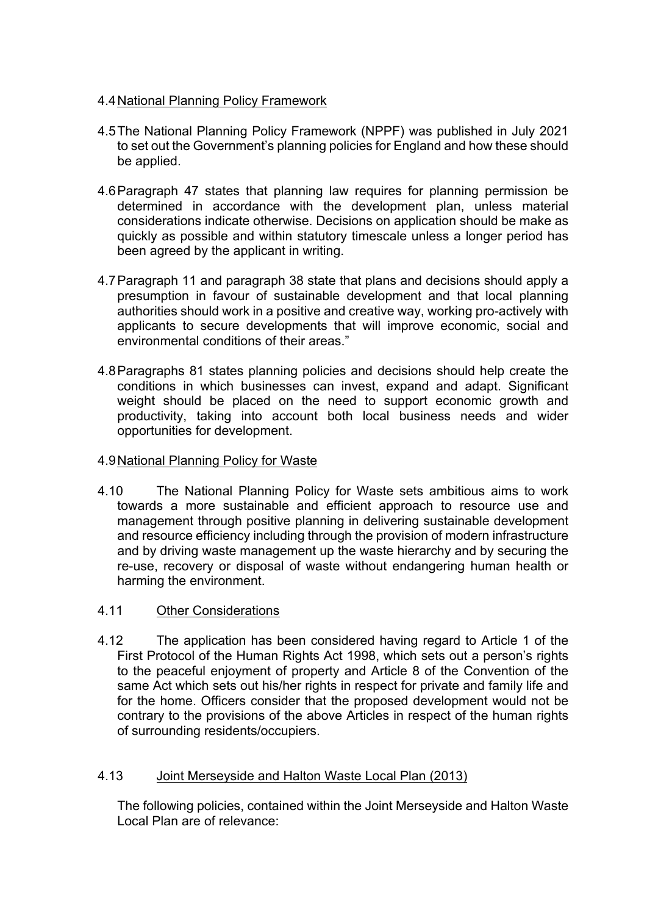## 4.4National Planning Policy Framework

- 4.5The National Planning Policy Framework (NPPF) was published in July 2021 to set out the Government's planning policies for England and how these should be applied.
- 4.6Paragraph 47 states that planning law requires for planning permission be determined in accordance with the development plan, unless material considerations indicate otherwise. Decisions on application should be make as quickly as possible and within statutory timescale unless a longer period has been agreed by the applicant in writing.
- 4.7Paragraph 11 and paragraph 38 state that plans and decisions should apply a presumption in favour of sustainable development and that local planning authorities should work in a positive and creative way, working pro-actively with applicants to secure developments that will improve economic, social and environmental conditions of their areas."
- 4.8Paragraphs 81 states planning policies and decisions should help create the conditions in which businesses can invest, expand and adapt. Significant weight should be placed on the need to support economic growth and productivity, taking into account both local business needs and wider opportunities for development.

### 4.9National Planning Policy for Waste

4.10 The National Planning Policy for Waste sets ambitious aims to work towards a more sustainable and efficient approach to resource use and management through positive planning in delivering sustainable development and resource efficiency including through the provision of modern infrastructure and by driving waste management up the waste hierarchy and by securing the re-use, recovery or disposal of waste without endangering human health or harming the environment.

### 4.11 Other Considerations

4.12 The application has been considered having regard to Article 1 of the First Protocol of the Human Rights Act 1998, which sets out a person's rights to the peaceful enjoyment of property and Article 8 of the Convention of the same Act which sets out his/her rights in respect for private and family life and for the home. Officers consider that the proposed development would not be contrary to the provisions of the above Articles in respect of the human rights of surrounding residents/occupiers.

## 4.13 Joint Merseyside and Halton Waste Local Plan (2013)

The following policies, contained within the Joint Merseyside and Halton Waste Local Plan are of relevance: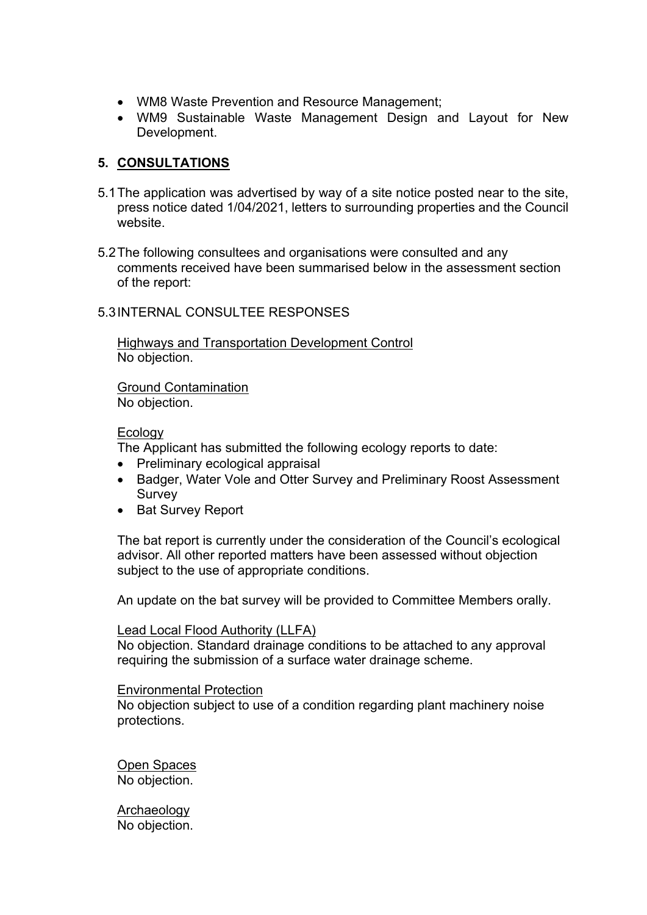- WM8 Waste Prevention and Resource Management;
- WM9 Sustainable Waste Management Design and Layout for New Development.

## **5. CONSULTATIONS**

- 5.1The application was advertised by way of a site notice posted near to the site, press notice dated 1/04/2021, letters to surrounding properties and the Council website.
- 5.2The following consultees and organisations were consulted and any comments received have been summarised below in the assessment section of the report:

## 5.3INTERNAL CONSULTEE RESPONSES

Highways and Transportation Development Control No objection.

Ground Contamination No objection.

Ecology

The Applicant has submitted the following ecology reports to date:

- Preliminary ecological appraisal
- Badger, Water Vole and Otter Survey and Preliminary Roost Assessment **Survey**
- Bat Survey Report

The bat report is currently under the consideration of the Council's ecological advisor. All other reported matters have been assessed without objection subject to the use of appropriate conditions.

An update on the bat survey will be provided to Committee Members orally.

### Lead Local Flood Authority (LLFA)

No objection. Standard drainage conditions to be attached to any approval requiring the submission of a surface water drainage scheme.

#### Environmental Protection

No objection subject to use of a condition regarding plant machinery noise protections.

Open Spaces No objection.

Archaeology No objection.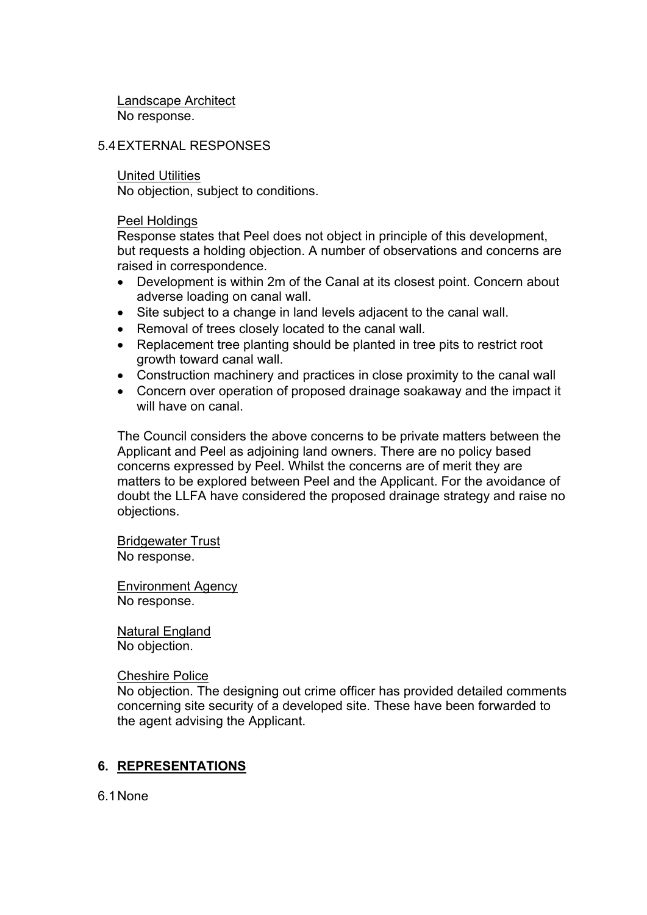Landscape Architect No response.

#### 5.4EXTERNAL RESPONSES

#### United Utilities

No objection, subject to conditions.

#### Peel Holdings

Response states that Peel does not object in principle of this development, but requests a holding objection. A number of observations and concerns are raised in correspondence.

- Development is within 2m of the Canal at its closest point. Concern about adverse loading on canal wall.
- Site subject to a change in land levels adjacent to the canal wall.
- Removal of trees closely located to the canal wall.
- Replacement tree planting should be planted in tree pits to restrict root growth toward canal wall.
- Construction machinery and practices in close proximity to the canal wall
- Concern over operation of proposed drainage soakaway and the impact it will have on canal.

The Council considers the above concerns to be private matters between the Applicant and Peel as adjoining land owners. There are no policy based concerns expressed by Peel. Whilst the concerns are of merit they are matters to be explored between Peel and the Applicant. For the avoidance of doubt the LLFA have considered the proposed drainage strategy and raise no objections.

Bridgewater Trust No response.

Environment Agency No response.

Natural England No objection.

Cheshire Police

No objection. The designing out crime officer has provided detailed comments concerning site security of a developed site. These have been forwarded to the agent advising the Applicant.

### **6. REPRESENTATIONS**

6.1None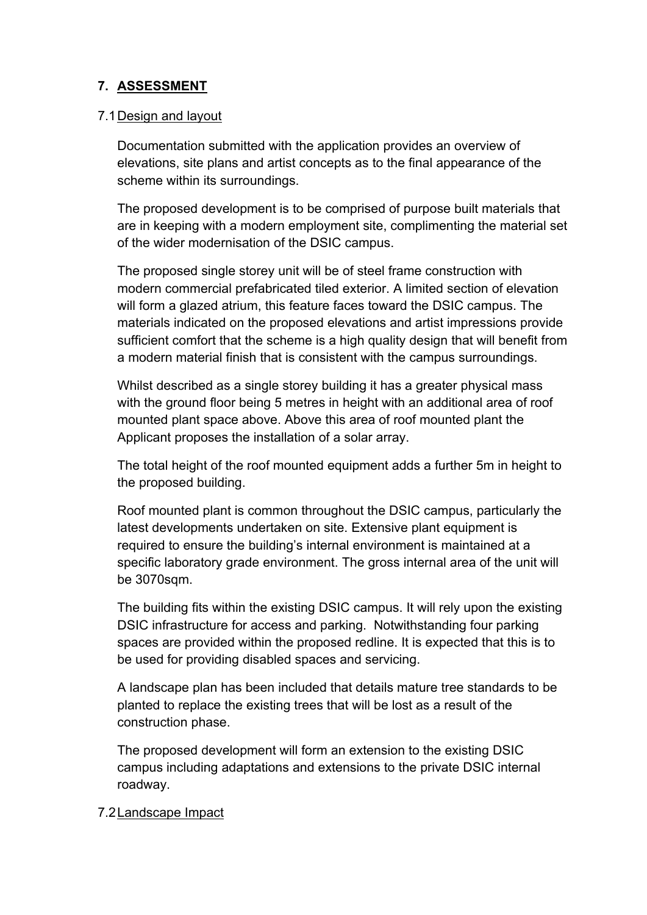# **7. ASSESSMENT**

## 7.1Design and layout

Documentation submitted with the application provides an overview of elevations, site plans and artist concepts as to the final appearance of the scheme within its surroundings.

The proposed development is to be comprised of purpose built materials that are in keeping with a modern employment site, complimenting the material set of the wider modernisation of the DSIC campus.

The proposed single storey unit will be of steel frame construction with modern commercial prefabricated tiled exterior. A limited section of elevation will form a glazed atrium, this feature faces toward the DSIC campus. The materials indicated on the proposed elevations and artist impressions provide sufficient comfort that the scheme is a high quality design that will benefit from a modern material finish that is consistent with the campus surroundings.

Whilst described as a single storey building it has a greater physical mass with the ground floor being 5 metres in height with an additional area of roof mounted plant space above. Above this area of roof mounted plant the Applicant proposes the installation of a solar array.

The total height of the roof mounted equipment adds a further 5m in height to the proposed building.

Roof mounted plant is common throughout the DSIC campus, particularly the latest developments undertaken on site. Extensive plant equipment is required to ensure the building's internal environment is maintained at a specific laboratory grade environment. The gross internal area of the unit will be 3070sqm.

The building fits within the existing DSIC campus. It will rely upon the existing DSIC infrastructure for access and parking. Notwithstanding four parking spaces are provided within the proposed redline. It is expected that this is to be used for providing disabled spaces and servicing.

A landscape plan has been included that details mature tree standards to be planted to replace the existing trees that will be lost as a result of the construction phase.

The proposed development will form an extension to the existing DSIC campus including adaptations and extensions to the private DSIC internal roadway.

### 7.2Landscape Impact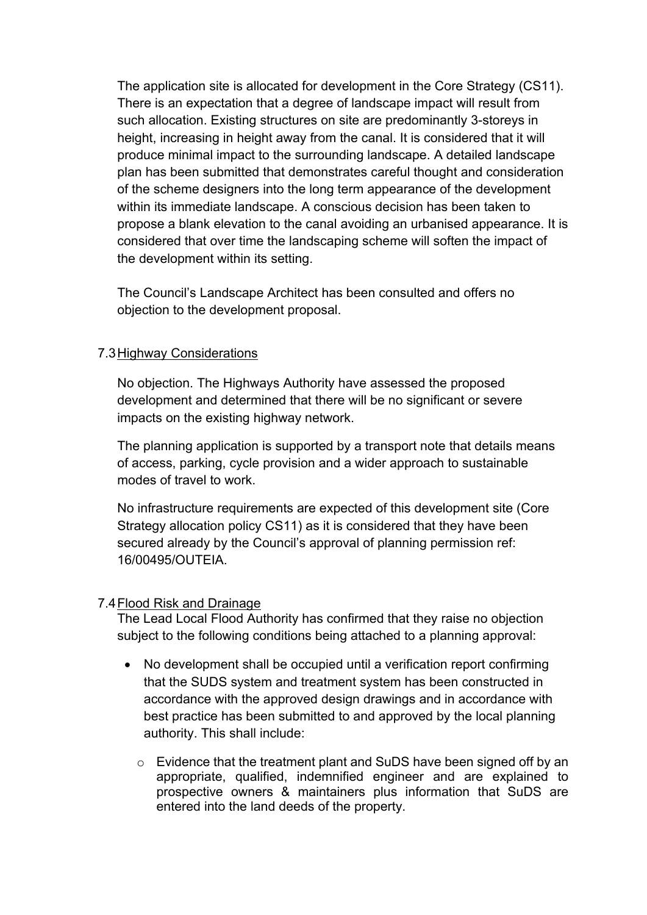The application site is allocated for development in the Core Strategy (CS11). There is an expectation that a degree of landscape impact will result from such allocation. Existing structures on site are predominantly 3-storeys in height, increasing in height away from the canal. It is considered that it will produce minimal impact to the surrounding landscape. A detailed landscape plan has been submitted that demonstrates careful thought and consideration of the scheme designers into the long term appearance of the development within its immediate landscape. A conscious decision has been taken to propose a blank elevation to the canal avoiding an urbanised appearance. It is considered that over time the landscaping scheme will soften the impact of the development within its setting.

The Council's Landscape Architect has been consulted and offers no objection to the development proposal.

## 7.3Highway Considerations

No objection. The Highways Authority have assessed the proposed development and determined that there will be no significant or severe impacts on the existing highway network.

The planning application is supported by a transport note that details means of access, parking, cycle provision and a wider approach to sustainable modes of travel to work.

No infrastructure requirements are expected of this development site (Core Strategy allocation policy CS11) as it is considered that they have been secured already by the Council's approval of planning permission ref: 16/00495/OUTEIA.

### 7.4Flood Risk and Drainage

The Lead Local Flood Authority has confirmed that they raise no objection subject to the following conditions being attached to a planning approval:

- No development shall be occupied until a verification report confirming that the SUDS system and treatment system has been constructed in accordance with the approved design drawings and in accordance with best practice has been submitted to and approved by the local planning authority. This shall include:
	- o Evidence that the treatment plant and SuDS have been signed off by an appropriate, qualified, indemnified engineer and are explained to prospective owners & maintainers plus information that SuDS are entered into the land deeds of the property.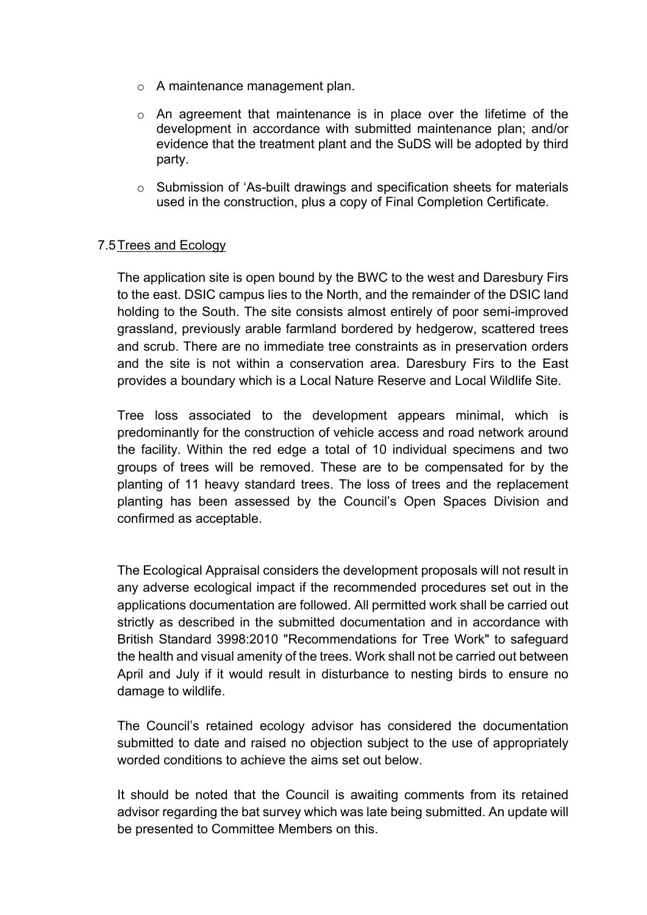- o A maintenance management plan.
- o An agreement that maintenance is in place over the lifetime of the development in accordance with submitted maintenance plan; and/or evidence that the treatment plant and the SuDS will be adopted by third party.
- o Submission of 'As-built drawings and specification sheets for materials used in the construction, plus a copy of Final Completion Certificate.

### 7.5Trees and Ecology

The application site is open bound by the BWC to the west and Daresbury Firs to the east. DSIC campus lies to the North, and the remainder of the DSIC land holding to the South. The site consists almost entirely of poor semi-improved grassland, previously arable farmland bordered by hedgerow, scattered trees and scrub. There are no immediate tree constraints as in preservation orders and the site is not within a conservation area. Daresbury Firs to the East provides a boundary which is a Local Nature Reserve and Local Wildlife Site.

Tree loss associated to the development appears minimal, which is predominantly for the construction of vehicle access and road network around the facility. Within the red edge a total of 10 individual specimens and two groups of trees will be removed. These are to be compensated for by the planting of 11 heavy standard trees. The loss of trees and the replacement planting has been assessed by the Council's Open Spaces Division and confirmed as acceptable.

The Ecological Appraisal considers the development proposals will not result in any adverse ecological impact if the recommended procedures set out in the applications documentation are followed. All permitted work shall be carried out strictly as described in the submitted documentation and in accordance with British Standard 3998:2010 "Recommendations for Tree Work" to safeguard the health and visual amenity of the trees. Work shall not be carried out between April and July if it would result in disturbance to nesting birds to ensure no damage to wildlife.

The Council's retained ecology advisor has considered the documentation submitted to date and raised no objection subject to the use of appropriately worded conditions to achieve the aims set out below.

It should be noted that the Council is awaiting comments from its retained advisor regarding the bat survey which was late being submitted. An update will be presented to Committee Members on this.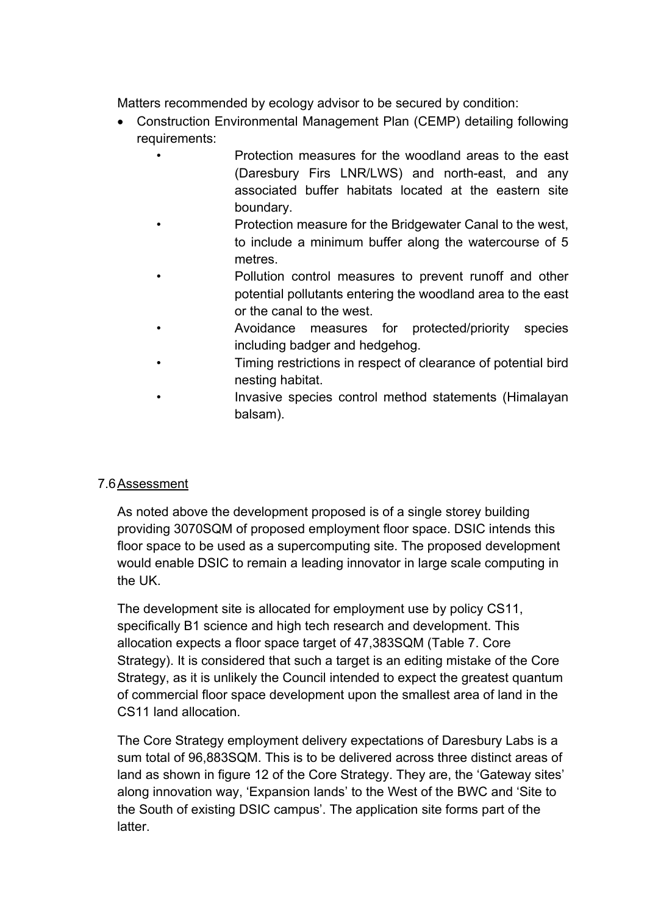Matters recommended by ecology advisor to be secured by condition:

- Construction Environmental Management Plan (CEMP) detailing following requirements:
	- Protection measures for the woodland areas to the east (Daresbury Firs LNR/LWS) and north-east, and any associated buffer habitats located at the eastern site boundary.
	- Protection measure for the Bridgewater Canal to the west, to include a minimum buffer along the watercourse of 5 metres.
	- Pollution control measures to prevent runoff and other potential pollutants entering the woodland area to the east or the canal to the west.
	- Avoidance measures for protected/priority species including badger and hedgehog.
	- Timing restrictions in respect of clearance of potential bird nesting habitat.
		- Invasive species control method statements (Himalayan balsam).

# 7.6Assessment

As noted above the development proposed is of a single storey building providing 3070SQM of proposed employment floor space. DSIC intends this floor space to be used as a supercomputing site. The proposed development would enable DSIC to remain a leading innovator in large scale computing in the UK.

The development site is allocated for employment use by policy CS11, specifically B1 science and high tech research and development. This allocation expects a floor space target of 47,383SQM (Table 7. Core Strategy). It is considered that such a target is an editing mistake of the Core Strategy, as it is unlikely the Council intended to expect the greatest quantum of commercial floor space development upon the smallest area of land in the CS11 land allocation.

The Core Strategy employment delivery expectations of Daresbury Labs is a sum total of 96,883SQM. This is to be delivered across three distinct areas of land as shown in figure 12 of the Core Strategy. They are, the 'Gateway sites' along innovation way, 'Expansion lands' to the West of the BWC and 'Site to the South of existing DSIC campus'. The application site forms part of the latter.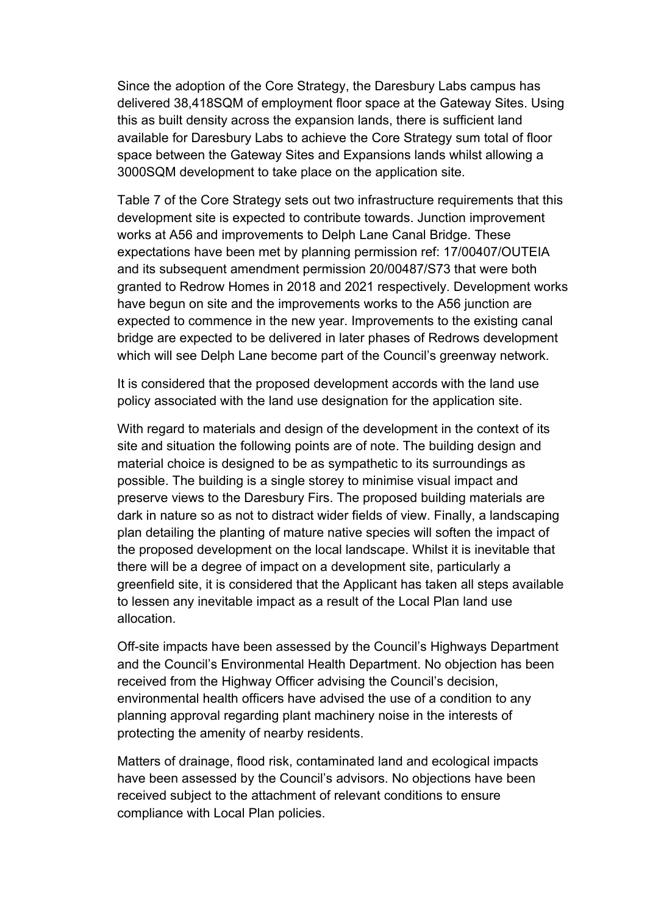Since the adoption of the Core Strategy, the Daresbury Labs campus has delivered 38,418SQM of employment floor space at the Gateway Sites. Using this as built density across the expansion lands, there is sufficient land available for Daresbury Labs to achieve the Core Strategy sum total of floor space between the Gateway Sites and Expansions lands whilst allowing a 3000SQM development to take place on the application site.

Table 7 of the Core Strategy sets out two infrastructure requirements that this development site is expected to contribute towards. Junction improvement works at A56 and improvements to Delph Lane Canal Bridge. These expectations have been met by planning permission ref: 17/00407/OUTEIA and its subsequent amendment permission 20/00487/S73 that were both granted to Redrow Homes in 2018 and 2021 respectively. Development works have begun on site and the improvements works to the A56 junction are expected to commence in the new year. Improvements to the existing canal bridge are expected to be delivered in later phases of Redrows development which will see Delph Lane become part of the Council's greenway network.

It is considered that the proposed development accords with the land use policy associated with the land use designation for the application site.

With regard to materials and design of the development in the context of its site and situation the following points are of note. The building design and material choice is designed to be as sympathetic to its surroundings as possible. The building is a single storey to minimise visual impact and preserve views to the Daresbury Firs. The proposed building materials are dark in nature so as not to distract wider fields of view. Finally, a landscaping plan detailing the planting of mature native species will soften the impact of the proposed development on the local landscape. Whilst it is inevitable that there will be a degree of impact on a development site, particularly a greenfield site, it is considered that the Applicant has taken all steps available to lessen any inevitable impact as a result of the Local Plan land use allocation.

Off-site impacts have been assessed by the Council's Highways Department and the Council's Environmental Health Department. No objection has been received from the Highway Officer advising the Council's decision, environmental health officers have advised the use of a condition to any planning approval regarding plant machinery noise in the interests of protecting the amenity of nearby residents.

Matters of drainage, flood risk, contaminated land and ecological impacts have been assessed by the Council's advisors. No objections have been received subject to the attachment of relevant conditions to ensure compliance with Local Plan policies.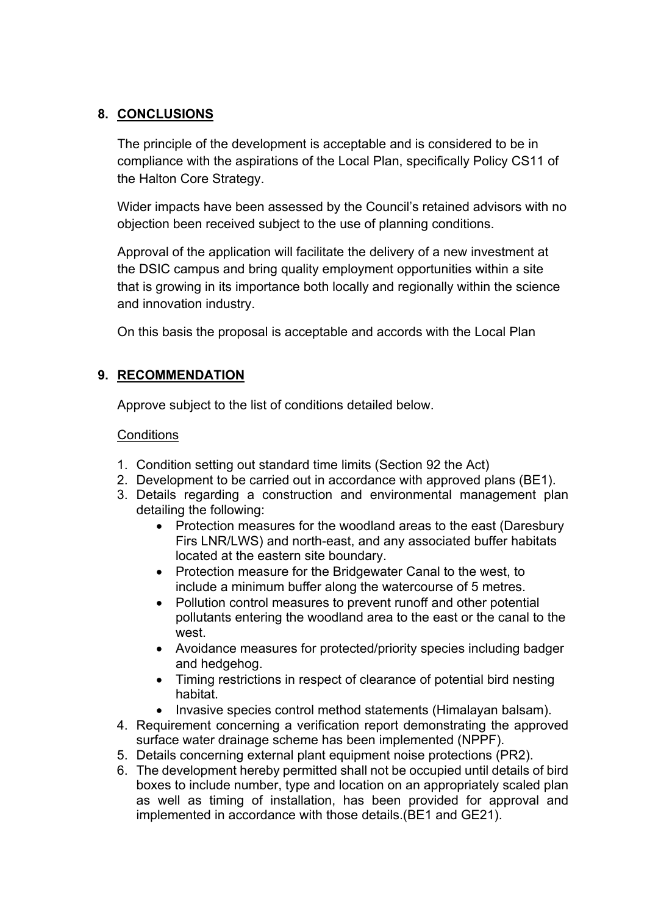## **8. CONCLUSIONS**

The principle of the development is acceptable and is considered to be in compliance with the aspirations of the Local Plan, specifically Policy CS11 of the Halton Core Strategy.

Wider impacts have been assessed by the Council's retained advisors with no objection been received subject to the use of planning conditions.

Approval of the application will facilitate the delivery of a new investment at the DSIC campus and bring quality employment opportunities within a site that is growing in its importance both locally and regionally within the science and innovation industry.

On this basis the proposal is acceptable and accords with the Local Plan

## **9. RECOMMENDATION**

Approve subject to the list of conditions detailed below.

## **Conditions**

- 1. Condition setting out standard time limits (Section 92 the Act)
- 2. Development to be carried out in accordance with approved plans (BE1).
- 3. Details regarding a construction and environmental management plan detailing the following:
	- Protection measures for the woodland areas to the east (Daresbury Firs LNR/LWS) and north-east, and any associated buffer habitats located at the eastern site boundary.
	- Protection measure for the Bridgewater Canal to the west, to include a minimum buffer along the watercourse of 5 metres.
	- Pollution control measures to prevent runoff and other potential pollutants entering the woodland area to the east or the canal to the west.
	- Avoidance measures for protected/priority species including badger and hedgehog.
	- Timing restrictions in respect of clearance of potential bird nesting habitat.
	- Invasive species control method statements (Himalayan balsam).
- 4. Requirement concerning a verification report demonstrating the approved surface water drainage scheme has been implemented (NPPF).
- 5. Details concerning external plant equipment noise protections (PR2).
- 6. The development hereby permitted shall not be occupied until details of bird boxes to include number, type and location on an appropriately scaled plan as well as timing of installation, has been provided for approval and implemented in accordance with those details.(BE1 and GE21).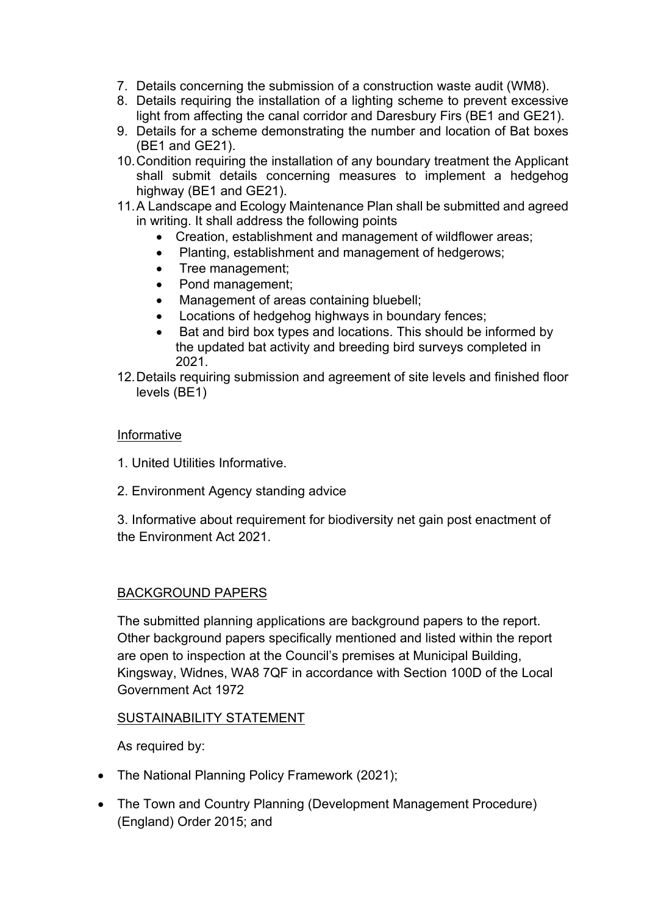- 7. Details concerning the submission of a construction waste audit (WM8).
- 8. Details requiring the installation of a lighting scheme to prevent excessive light from affecting the canal corridor and Daresbury Firs (BE1 and GE21).
- 9. Details for a scheme demonstrating the number and location of Bat boxes (BE1 and GE21).
- 10.Condition requiring the installation of any boundary treatment the Applicant shall submit details concerning measures to implement a hedgehog highway (BE1 and GE21).
- 11.A Landscape and Ecology Maintenance Plan shall be submitted and agreed in writing. It shall address the following points
	- Creation, establishment and management of wildflower areas;
	- Planting, establishment and management of hedgerows;
	- Tree management;
	- Pond management;
	- Management of areas containing bluebell;
	- Locations of hedgehog highways in boundary fences;
	- Bat and bird box types and locations. This should be informed by the updated bat activity and breeding bird surveys completed in 2021.
- 12.Details requiring submission and agreement of site levels and finished floor levels (BE1)

### Informative

- 1. United Utilities Informative.
- 2. Environment Agency standing advice

3. Informative about requirement for biodiversity net gain post enactment of the Environment Act 2021.

### BACKGROUND PAPERS

The submitted planning applications are background papers to the report. Other background papers specifically mentioned and listed within the report are open to inspection at the Council's premises at Municipal Building, Kingsway, Widnes, WA8 7QF in accordance with Section 100D of the Local Government Act 1972

### SUSTAINABILITY STATEMENT

As required by:

- The National Planning Policy Framework (2021);
- The Town and Country Planning (Development Management Procedure) (England) Order 2015; and